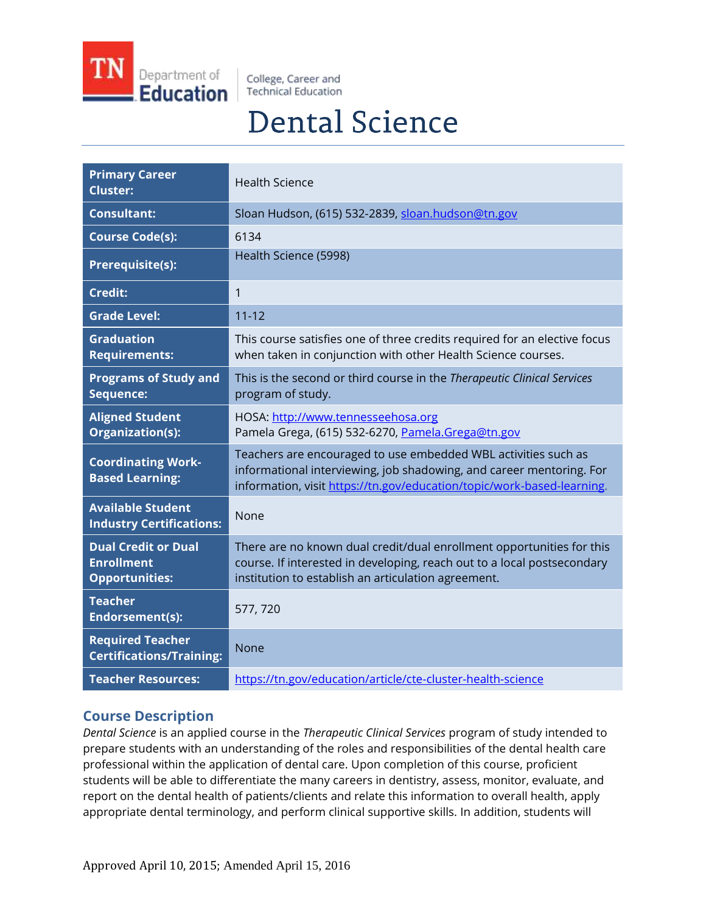

College, Career and **Technical Education** 

# **Dental Science**

| <b>Primary Career</b><br><b>Cluster:</b>                                 | <b>Health Science</b>                                                                                                                                                                                            |
|--------------------------------------------------------------------------|------------------------------------------------------------------------------------------------------------------------------------------------------------------------------------------------------------------|
| <b>Consultant:</b>                                                       | Sloan Hudson, (615) 532-2839, sloan.hudson@tn.gov                                                                                                                                                                |
| <b>Course Code(s):</b>                                                   | 6134                                                                                                                                                                                                             |
| <b>Prerequisite(s):</b>                                                  | Health Science (5998)                                                                                                                                                                                            |
| <b>Credit:</b>                                                           | 1                                                                                                                                                                                                                |
| <b>Grade Level:</b>                                                      | $11 - 12$                                                                                                                                                                                                        |
| <b>Graduation</b><br><b>Requirements:</b>                                | This course satisfies one of three credits required for an elective focus<br>when taken in conjunction with other Health Science courses.                                                                        |
| <b>Programs of Study and</b><br>Sequence:                                | This is the second or third course in the Therapeutic Clinical Services<br>program of study.                                                                                                                     |
| <b>Aligned Student</b><br>Organization(s):                               | HOSA: http://www.tennesseehosa.org<br>Pamela Grega, (615) 532-6270, Pamela.Grega@tn.gov                                                                                                                          |
| <b>Coordinating Work-</b><br><b>Based Learning:</b>                      | Teachers are encouraged to use embedded WBL activities such as<br>informational interviewing, job shadowing, and career mentoring. For<br>information, visit https://tn.gov/education/topic/work-based-learning. |
| <b>Available Student</b><br><b>Industry Certifications:</b>              | None                                                                                                                                                                                                             |
| <b>Dual Credit or Dual</b><br><b>Enrollment</b><br><b>Opportunities:</b> | There are no known dual credit/dual enrollment opportunities for this<br>course. If interested in developing, reach out to a local postsecondary<br>institution to establish an articulation agreement.          |
| <b>Teacher</b><br>Endorsement(s):                                        | 577, 720                                                                                                                                                                                                         |
| <b>Required Teacher</b><br><b>Certifications/Training:</b>               | None                                                                                                                                                                                                             |
| <b>Teacher Resources:</b>                                                | https://tn.gov/education/article/cte-cluster-health-science                                                                                                                                                      |

## **Course Description**

*Dental Science* is an applied course in the *Therapeutic Clinical Services* program of study intended to prepare students with an understanding of the roles and responsibilities of the dental health care professional within the application of dental care. Upon completion of this course, proficient students will be able to differentiate the many careers in dentistry, assess, monitor, evaluate, and report on the dental health of patients/clients and relate this information to overall health, apply appropriate dental terminology, and perform clinical supportive skills. In addition, students will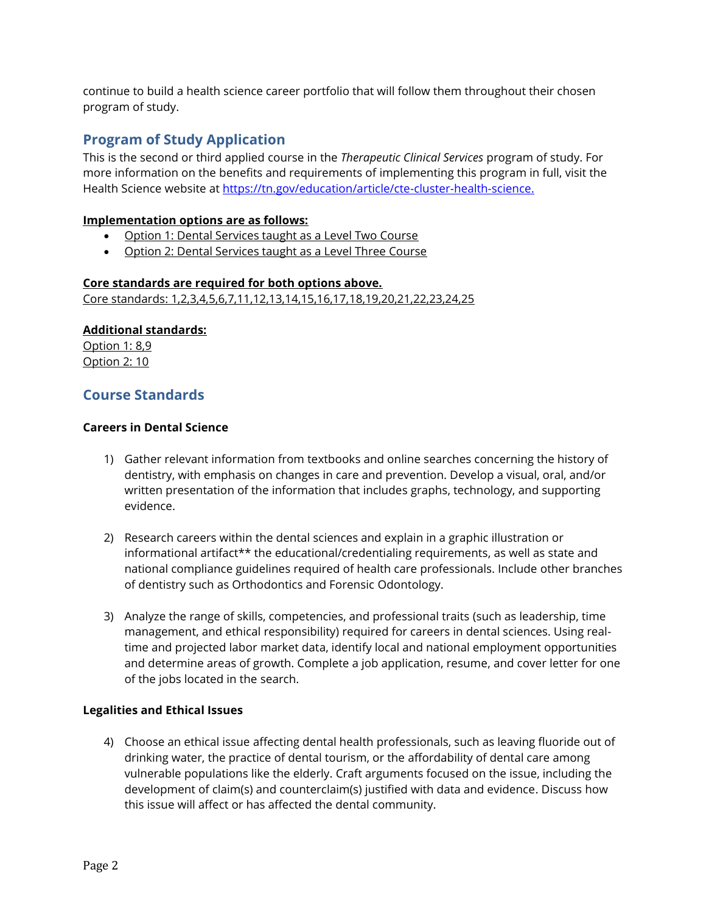continue to build a health science career portfolio that will follow them throughout their chosen program of study.

## **Program of Study Application**

This is the second or third applied course in the *Therapeutic Clinical Services* program of study. For more information on the benefits and requirements of implementing this program in full, visit the Health Science website at [https://tn.gov/education/article/cte-cluster-health-science.](https://tn.gov/education/article/cte-cluster-health-science)

#### **Implementation options are as follows:**

- Option 1: Dental Services taught as a Level Two Course
- Option 2: Dental Services taught as a Level Three Course

#### **Core standards are required for both options above.**

Core standards: 1,2,3,4,5,6,7,11,12,13,14,15,16,17,18,19,20,21,22,23,24,25

#### **Additional standards:**

Option 1: 8,9 Option 2: 10

### **Course Standards**

#### **Careers in Dental Science**

- 1) Gather relevant information from textbooks and online searches concerning the history of dentistry, with emphasis on changes in care and prevention. Develop a visual, oral, and/or written presentation of the information that includes graphs, technology, and supporting evidence.
- 2) Research careers within the dental sciences and explain in a graphic illustration or informational artifact\*\* the educational/credentialing requirements, as well as state and national compliance guidelines required of health care professionals. Include other branches of dentistry such as Orthodontics and Forensic Odontology.
- 3) Analyze the range of skills, competencies, and professional traits (such as leadership, time management, and ethical responsibility) required for careers in dental sciences. Using realtime and projected labor market data, identify local and national employment opportunities and determine areas of growth. Complete a job application, resume, and cover letter for one of the jobs located in the search.

#### **Legalities and Ethical Issues**

4) Choose an ethical issue affecting dental health professionals, such as leaving fluoride out of drinking water, the practice of dental tourism, or the affordability of dental care among vulnerable populations like the elderly. Craft arguments focused on the issue, including the development of claim(s) and counterclaim(s) justified with data and evidence. Discuss how this issue will affect or has affected the dental community.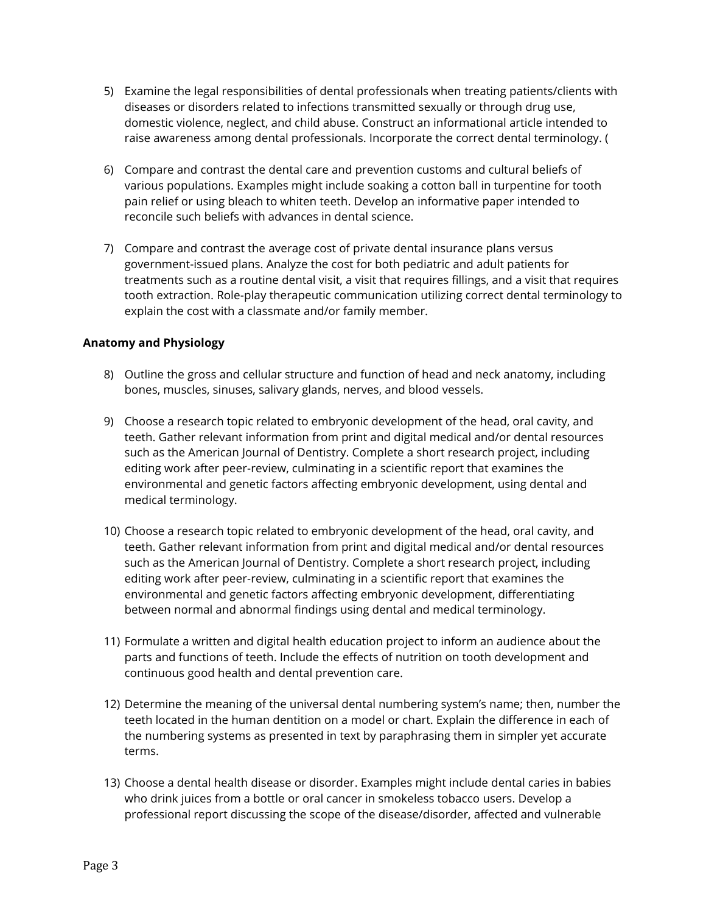- 5) Examine the legal responsibilities of dental professionals when treating patients/clients with diseases or disorders related to infections transmitted sexually or through drug use, domestic violence, neglect, and child abuse. Construct an informational article intended to raise awareness among dental professionals. Incorporate the correct dental terminology. (
- 6) Compare and contrast the dental care and prevention customs and cultural beliefs of various populations. Examples might include soaking a cotton ball in turpentine for tooth pain relief or using bleach to whiten teeth. Develop an informative paper intended to reconcile such beliefs with advances in dental science.
- 7) Compare and contrast the average cost of private dental insurance plans versus government-issued plans. Analyze the cost for both pediatric and adult patients for treatments such as a routine dental visit, a visit that requires fillings, and a visit that requires tooth extraction. Role-play therapeutic communication utilizing correct dental terminology to explain the cost with a classmate and/or family member.

#### **Anatomy and Physiology**

- 8) Outline the gross and cellular structure and function of head and neck anatomy, including bones, muscles, sinuses, salivary glands, nerves, and blood vessels.
- 9) Choose a research topic related to embryonic development of the head, oral cavity, and teeth. Gather relevant information from print and digital medical and/or dental resources such as the American Journal of Dentistry. Complete a short research project, including editing work after peer-review, culminating in a scientific report that examines the environmental and genetic factors affecting embryonic development, using dental and medical terminology.
- 10) Choose a research topic related to embryonic development of the head, oral cavity, and teeth. Gather relevant information from print and digital medical and/or dental resources such as the American Journal of Dentistry. Complete a short research project, including editing work after peer-review, culminating in a scientific report that examines the environmental and genetic factors affecting embryonic development, differentiating between normal and abnormal findings using dental and medical terminology.
- 11) Formulate a written and digital health education project to inform an audience about the parts and functions of teeth. Include the effects of nutrition on tooth development and continuous good health and dental prevention care.
- 12) Determine the meaning of the universal dental numbering system's name; then, number the teeth located in the human dentition on a model or chart. Explain the difference in each of the numbering systems as presented in text by paraphrasing them in simpler yet accurate terms.
- 13) Choose a dental health disease or disorder. Examples might include dental caries in babies who drink juices from a bottle or oral cancer in smokeless tobacco users. Develop a professional report discussing the scope of the disease/disorder, affected and vulnerable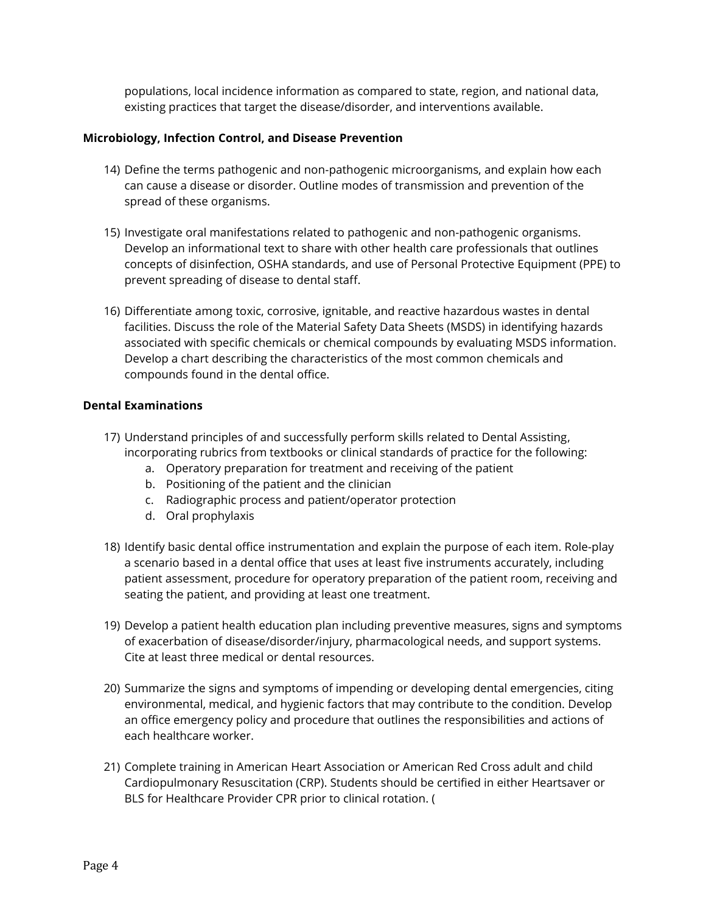populations, local incidence information as compared to state, region, and national data, existing practices that target the disease/disorder, and interventions available.

#### **Microbiology, Infection Control, and Disease Prevention**

- 14) Define the terms pathogenic and non-pathogenic microorganisms, and explain how each can cause a disease or disorder. Outline modes of transmission and prevention of the spread of these organisms.
- 15) Investigate oral manifestations related to pathogenic and non-pathogenic organisms. Develop an informational text to share with other health care professionals that outlines concepts of disinfection, OSHA standards, and use of Personal Protective Equipment (PPE) to prevent spreading of disease to dental staff.
- 16) Differentiate among toxic, corrosive, ignitable, and reactive hazardous wastes in dental facilities. Discuss the role of the Material Safety Data Sheets (MSDS) in identifying hazards associated with specific chemicals or chemical compounds by evaluating MSDS information. Develop a chart describing the characteristics of the most common chemicals and compounds found in the dental office.

#### **Dental Examinations**

- 17) Understand principles of and successfully perform skills related to Dental Assisting, incorporating rubrics from textbooks or clinical standards of practice for the following:
	- a. Operatory preparation for treatment and receiving of the patient
	- b. Positioning of the patient and the clinician
	- c. Radiographic process and patient/operator protection
	- d. Oral prophylaxis
- 18) Identify basic dental office instrumentation and explain the purpose of each item. Role-play a scenario based in a dental office that uses at least five instruments accurately, including patient assessment, procedure for operatory preparation of the patient room, receiving and seating the patient, and providing at least one treatment.
- 19) Develop a patient health education plan including preventive measures, signs and symptoms of exacerbation of disease/disorder/injury, pharmacological needs, and support systems. Cite at least three medical or dental resources.
- 20) Summarize the signs and symptoms of impending or developing dental emergencies, citing environmental, medical, and hygienic factors that may contribute to the condition. Develop an office emergency policy and procedure that outlines the responsibilities and actions of each healthcare worker.
- 21) Complete training in American Heart Association or American Red Cross adult and child Cardiopulmonary Resuscitation (CRP). Students should be certified in either Heartsaver or BLS for Healthcare Provider CPR prior to clinical rotation. (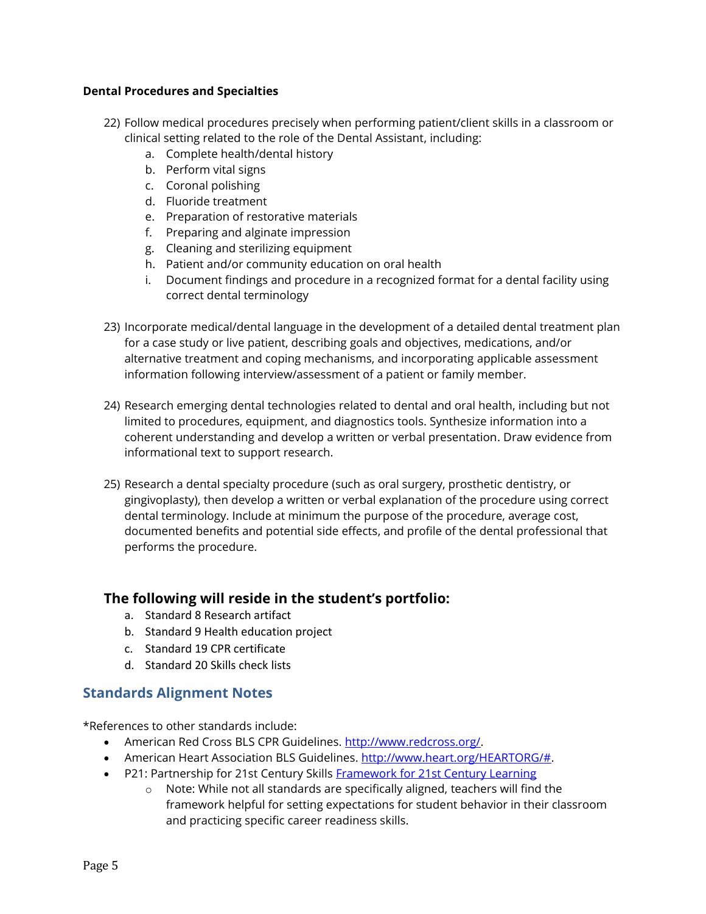#### **Dental Procedures and Specialties**

- 22) Follow medical procedures precisely when performing patient/client skills in a classroom or clinical setting related to the role of the Dental Assistant, including:
	- a. Complete health/dental history
	- b. Perform vital signs
	- c. Coronal polishing
	- d. Fluoride treatment
	- e. Preparation of restorative materials
	- f. Preparing and alginate impression
	- g. Cleaning and sterilizing equipment
	- h. Patient and/or community education on oral health
	- i. Document findings and procedure in a recognized format for a dental facility using correct dental terminology
- 23) Incorporate medical/dental language in the development of a detailed dental treatment plan for a case study or live patient, describing goals and objectives, medications, and/or alternative treatment and coping mechanisms, and incorporating applicable assessment information following interview/assessment of a patient or family member.
- 24) Research emerging dental technologies related to dental and oral health, including but not limited to procedures, equipment, and diagnostics tools. Synthesize information into a coherent understanding and develop a written or verbal presentation. Draw evidence from informational text to support research.
- 25) Research a dental specialty procedure (such as oral surgery, prosthetic dentistry, or gingivoplasty), then develop a written or verbal explanation of the procedure using correct dental terminology. Include at minimum the purpose of the procedure, average cost, documented benefits and potential side effects, and profile of the dental professional that performs the procedure.

## **The following will reside in the student's portfolio:**

- a. Standard 8 Research artifact
- b. Standard 9 Health education project
- c. Standard 19 CPR certificate
- d. Standard 20 Skills check lists

## **Standards Alignment Notes**

\*References to other standards include:

- American Red Cross BLS CPR Guidelines. [http://www.redcross.org/.](http://www.redcross.org/)
- American Heart Association BLS Guidelines. [http://www.heart.org/HEARTORG/#.](http://www.heart.org/HEARTORG/)
- P21: Partnership for 21st Century Skills [Framework for 21st Century Learning](http://www.p21.org/storage/documents/P21_Framework_Definitions.pdf)
	- $\circ$  Note: While not all standards are specifically aligned, teachers will find the framework helpful for setting expectations for student behavior in their classroom and practicing specific career readiness skills.